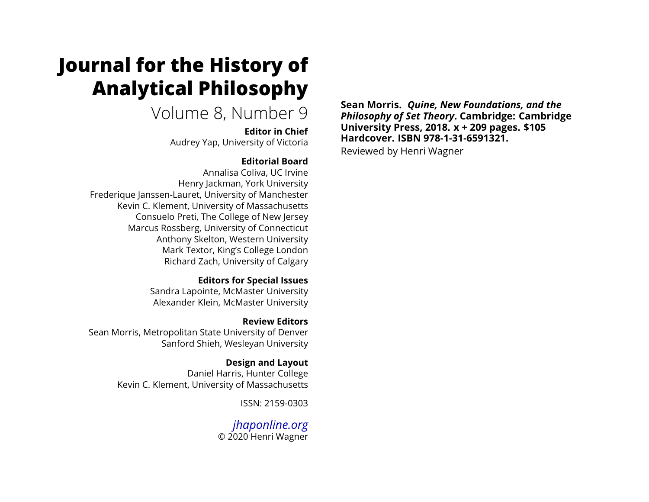# **Journal for the History of Analytical Philosophy**

# Volume 8, Number 9

**Editor in Chief** Audrey Yap, University of Victoria

## **Editorial Board**

Annalisa Coliva, UC Irvine Henry Jackman, York University Frederique Janssen-Lauret, University of Manchester Kevin C. Klement, University of Massachusetts Consuelo Preti, The College of New Jersey Marcus Rossberg, University of Connecticut Anthony Skelton, Western University Mark Textor, King's College London Richard Zach, University of Calgary

### **Editors for Special Issues**

Sandra Lapointe, McMaster University Alexander Klein, McMaster University

# **Review Editors**

Sean Morris, Metropolitan State University of Denver Sanford Shieh, Wesleyan University

# **Design and Layout**

Daniel Harris, Hunter College Kevin C. Klement, University of Massachusetts

ISSN: 2159-0303

# *[jhaponline.org](https://jhaponline.org)* © 2020 Henri Wagner

**Sean Morris.** *Quine, New Foundations, and the Philosophy of Set Theory***. Cambridge: Cambridge University Press, 2018. x + 209 pages. \$105 Hardcover. ISBN 978-1-31-6591321.** Reviewed by Henri Wagner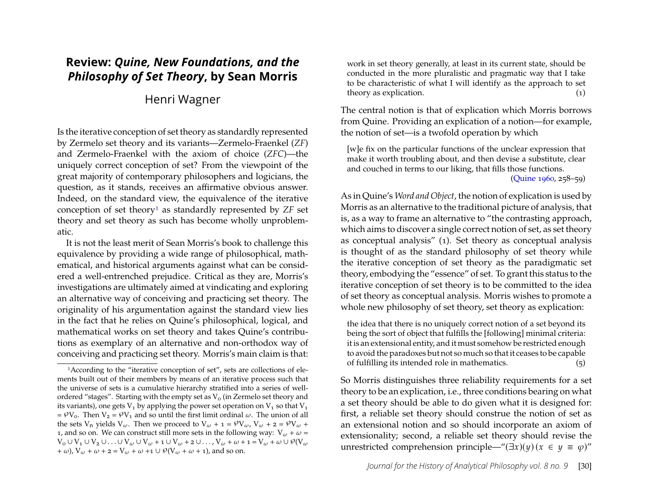# **Review:** *Quine, New Foundations, and the Philosophy of Set Theory***, by Sean Morris**

## Henri Wagner

Is the iterative conception of set theory as standardly represented by Zermelo set theory and its variants—Zermelo-Fraenkel (*ZF*) and Zermelo-Fraenkel with the axiom of choice (*ZFC*)—the uniquely correct conception of set? From the viewpoint of the great majority of contemporary philosophers and logicians, the question, as it stands, receives an affirmative obvious answer. Indeed, on the standard view, the equivalence of the iterative conception of set theory[1](#page-1-0) as standardly represented by *ZF* set theory and set theory as such has become wholly unproblematic.

It is not the least merit of Sean Morris's book to challenge this equivalence by providing a wide range of philosophical, mathematical, and historical arguments against what can be considered a well-entrenched prejudice. Critical as they are, Morris's investigations are ultimately aimed at vindicating and exploring an alternative way of conceiving and practicing set theory. The originality of his argumentation against the standard view lies in the fact that he relies on Quine's philosophical, logical, and mathematical works on set theory and takes Quine's contributions as exemplary of an alternative and non-orthodox way of conceiving and practicing set theory. Morris's main claim is that:

work in set theory generally, at least in its current state, should be conducted in the more pluralistic and pragmatic way that I take to be characteristic of what I will identify as the approach to set theory as explication. (1)

The central notion is that of explication which Morris borrows from Quine. Providing an explication of a notion—for example, the notion of set—is a twofold operation by which

[w]e fix on the particular functions of the unclear expression that make it worth troubling about, and then devise a substitute, clear and couched in terms to our liking, that fills those functions.

[\(Quine 1960,](#page-18-0) 258–59)

As in Quine's *Word and Object*, the notion of explication is used by Morris as an alternative to the traditional picture of analysis, that is, as a way to frame an alternative to "the contrasting approach, which aims to discover a single correct notion of set, as set theory as conceptual analysis" (1). Set theory as conceptual analysis is thought of as the standard philosophy of set theory while the iterative conception of set theory as the paradigmatic set theory, embodying the "essence" of set. To grant this status to the iterative conception of set theory is to be committed to the idea of set theory as conceptual analysis. Morris wishes to promote a whole new philosophy of set theory, set theory as explication:

the idea that there is no uniquely correct notion of a set beyond its being the sort of object that fulfills the [following] minimal criteria: it is an extensional entity, and it must somehow be restricted enough to avoid the paradoxes but not so much so that it ceases to be capable of fulfilling its intended role in mathematics. (5)

So Morris distinguishes three reliability requirements for a set theory to be an explication, i.e., three conditions bearing on what a set theory should be able to do given what it is designed for: first, a reliable set theory should construe the notion of set as an extensional notion and so should incorporate an axiom of extensionality; second, a reliable set theory should revise the unrestricted comprehension principle—"( $\exists x$ )( $y$ ) ( $x \in y \equiv \varphi$ )"

<span id="page-1-0"></span><sup>1</sup>According to the "iterative conception of set", sets are collections of elements built out of their members by means of an iterative process such that the universe of sets is a cumulative hierarchy stratified into a series of wellordered "stages". Starting with the empty set as  $V_0$  (in Zermelo set theory and its variants), one gets  $V_1$  by applying the power set operation on  $V_1$  so that  $V_1$ =  $\mathcal{W}_0$ . Then  $V_2 = \mathcal{W}_1$  and so until the first limit ordinal  $\omega$ . The union of all the sets  $V_n$  yields  $V_\omega$ . Then we proceed to  $V_\omega + 1 = \mathcal{V}V_\omega$ ,  $V_\omega + 2 = \mathcal{V}V_\omega + 1$ 1, and so on. We can construct still more sets in the following way:  $V_\omega + \omega =$  $V_0 \cup V_1 \cup V_2 \cup \ldots \cup V_\omega \cup V_\omega + i \cup V_\omega + i \cup \ldots$ ,  $V_\omega + \omega + i = V_\omega + \omega \cup \mathcal{P}(V_\omega)$ +  $\omega$ ), V<sub> $\omega$ </sub> +  $\omega$  + 2 = V<sub> $\omega$ </sub> +  $\omega$  +1  $\cup$   $\mathcal{P}(V_{\omega} + \omega + 1)$ , and so on.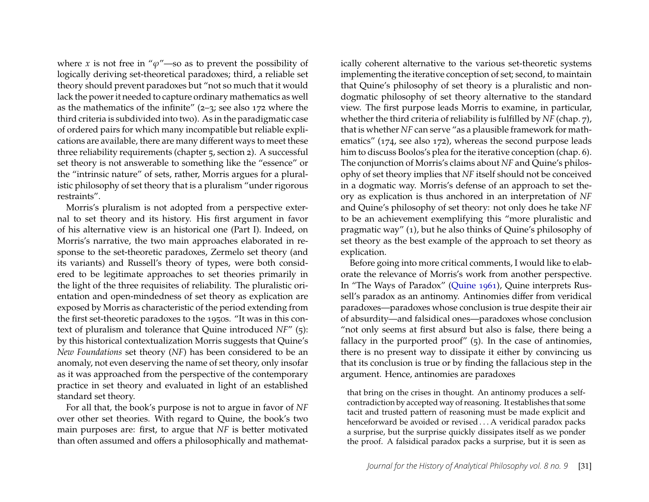where x is not free in " $\varphi$ "—so as to prevent the possibility of logically deriving set-theoretical paradoxes; third, a reliable set theory should prevent paradoxes but "not so much that it would lack the power it needed to capture ordinary mathematics as well as the mathematics of the infinite"  $(2-3)$ ; see also 172 where the third criteria is subdivided into two). As in the paradigmatic case of ordered pairs for which many incompatible but reliable explications are available, there are many different ways to meet these three reliability requirements (chapter 5, section 2). A successful set theory is not answerable to something like the "essence" or the "intrinsic nature" of sets, rather, Morris argues for a pluralistic philosophy of set theory that is a pluralism "under rigorous restraints".

Morris's pluralism is not adopted from a perspective external to set theory and its history. His first argument in favor of his alternative view is an historical one (Part I). Indeed, on Morris's narrative, the two main approaches elaborated in response to the set-theoretic paradoxes, Zermelo set theory (and its variants) and Russell's theory of types, were both considered to be legitimate approaches to set theories primarily in the light of the three requisites of reliability. The pluralistic orientation and open-mindedness of set theory as explication are exposed by Morris as characteristic of the period extending from the first set-theoretic paradoxes to the 1950s. "It was in this context of pluralism and tolerance that Quine introduced *NF*" (5): by this historical contextualization Morris suggests that Quine's *New Foundations* set theory (*NF*) has been considered to be an anomaly, not even deserving the name of set theory, only insofar as it was approached from the perspective of the contemporary practice in set theory and evaluated in light of an established standard set theory.

For all that, the book's purpose is not to argue in favor of *NF* over other set theories. With regard to Quine, the book's two main purposes are: first, to argue that *NF* is better motivated than often assumed and offers a philosophically and mathematically coherent alternative to the various set-theoretic systems implementing the iterative conception of set; second, to maintain that Quine's philosophy of set theory is a pluralistic and nondogmatic philosophy of set theory alternative to the standard view. The first purpose leads Morris to examine, in particular, whether the third criteria of reliability is fulfilled by *NF* (chap. 7), that is whether *NF* can serve "as a plausible framework for mathematics" (174, see also 172), whereas the second purpose leads him to discuss Boolos's plea for the iterative conception (chap. 6). The conjunction of Morris's claims about *NF* and Quine's philosophy of set theory implies that *NF* itself should not be conceived in a dogmatic way. Morris's defense of an approach to set theory as explication is thus anchored in an interpretation of *NF* and Quine's philosophy of set theory: not only does he take *NF* to be an achievement exemplifying this "more pluralistic and pragmatic way" (1), but he also thinks of Quine's philosophy of set theory as the best example of the approach to set theory as explication.

Before going into more critical comments, I would like to elaborate the relevance of Morris's work from another perspective. In "The Ways of Paradox" [\(Quine 1961\)](#page-18-1), Quine interprets Russell's paradox as an antinomy. Antinomies differ from veridical paradoxes—paradoxes whose conclusion is true despite their air of absurdity—and falsidical ones—paradoxes whose conclusion "not only seems at first absurd but also is false, there being a fallacy in the purported proof" (5). In the case of antinomies, there is no present way to dissipate it either by convincing us that its conclusion is true or by finding the fallacious step in the argument. Hence, antinomies are paradoxes

that bring on the crises in thought. An antinomy produces a selfcontradiction by accepted way of reasoning. It establishes that some tacit and trusted pattern of reasoning must be made explicit and henceforward be avoided or revised . . . A veridical paradox packs a surprise, but the surprise quickly dissipates itself as we ponder the proof. A falsidical paradox packs a surprise, but it is seen as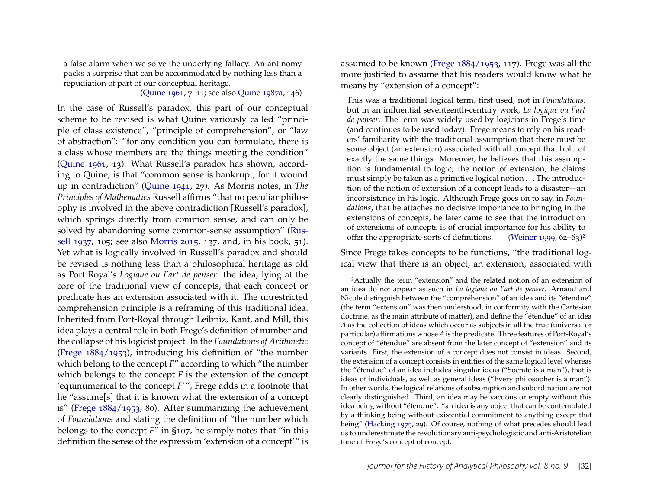a false alarm when we solve the underlying fallacy. An antinomy packs a surprise that can be accommodated by nothing less than a repudiation of part of our conceptual heritage.

#### [\(Quine 1961,](#page-18-1) 7–11; see also [Quine 1987a,](#page-18-2) 146)

In the case of Russell's paradox, this part of our conceptual scheme to be revised is what Quine variously called "principle of class existence", "principle of comprehension", or "law of abstraction": "for any condition you can formulate, there is a class whose members are the things meeting the condition" [\(Quine 1961,](#page-18-1) 13). What Russell's paradox has shown, according to Quine, is that "common sense is bankrupt, for it wound up in contradiction" [\(Quine 1941,](#page-18-3) 27). As Morris notes, in *The Principles of Mathematics* Russell affirms "that no peculiar philosophy is involved in the above contradiction [Russell's paradox], which springs directly from common sense, and can only be solved by abandoning some common-sense assumption" [\(Rus](#page-19-0)[sell 1937,](#page-19-0) 105; see also [Morris 2015,](#page-17-0) 137, and, in his book, 51). Yet what is logically involved in Russell's paradox and should be revised is nothing less than a philosophical heritage as old as Port Royal's *Logique ou l'art de penser*: the idea, lying at the core of the traditional view of concepts, that each concept or predicate has an extension associated with it. The unrestricted comprehension principle is a reframing of this traditional idea. Inherited from Port-Royal through Leibniz, Kant, and Mill, this idea plays a central role in both Frege's definition of number and the collapse of his logicist project. In the *Foundations of Arithmetic* [\(Frege 1884/1953\)](#page-17-1), introducing his definition of "the number which belong to the concept *F*" according to which "the number which belongs to the concept *F* is the extension of the concept 'equinumerical to the concept *F*'", Frege adds in a footnote that he "assume[s] that it is known what the extension of a concept is" [\(Frege 1884/1953,](#page-17-1) 80). After summarizing the achievement of *Foundations* and stating the definition of "the number which belongs to the concept *F*" in §107, he simply notes that "in this definition the sense of the expression 'extension of a concept'" is

assumed to be known [\(Frege 1884/1953,](#page-17-1) 117). Frege was all the more justified to assume that his readers would know what he means by "extension of a concept":

This was a traditional logical term, first used, not in *Foundations*, but in an influential seventeenth-century work, *La logique ou l'art de penser*. The term was widely used by logicians in Frege's time (and continues to be used today). Frege means to rely on his readers' familiarity with the traditional assumption that there must be some object (an extension) associated with all concept that hold of exactly the same things. Moreover, he believes that this assumption is fundamental to logic; the notion of extension, he claims must simply be taken as a primitive logical notion . . . The introduction of the notion of extension of a concept leads to a disaster—an inconsistency in his logic. Although Frege goes on to say, in *Foundations*, that he attaches no decisive importance to bringing in the extensions of concepts, he later came to see that the introduction of extensions of concepts is of crucial importance for his ability to offer the appropriate sorts of definitions. [\(Weiner 1999,](#page-19-1)  $62-63$  $62-63$  $62-63$ )<sup>2</sup>

Since Frege takes concepts to be functions, "the traditional logical view that there is an object, an extension, associated with

<span id="page-3-0"></span><sup>2</sup>Actually the term "extension" and the related notion of an extension of an idea do not appear as such in *La logique ou l'art de penser*. Arnaud and Nicole distinguish between the "compréhension" of an idea and its "étendue" (the term "extension" was then understood, in conformity with the Cartesian doctrine, as the main attribute of matter), and define the "étendue" of an idea *A* as the collection of ideas which occur as subjects in all the true (universal or particular) affirmations whose *A* is the predicate. Three features of Port-Royal's concept of "étendue" are absent from the later concept of "extension" and its variants. First, the extension of a concept does not consist in ideas. Second, the extension of a concept consists in entities of the same logical level whereas the "étendue" of an idea includes singular ideas ("Socrate is a man"), that is ideas of individuals, as well as general ideas ("Every philosopher is a man"). In other words, the logical relations of subsomption and subordination are not clearly distinguished. Third, an idea may be vacuous or empty without this idea being without "étendue": "an idea is any object that can be contemplated by a thinking being without existential commitment to anything except that being" [\(Hacking 1975,](#page-17-2) 29). Of course, nothing of what precedes should lead us to underestimate the revolutionary anti-psychologistic and anti-Aristotelian tone of Frege's concept of concept.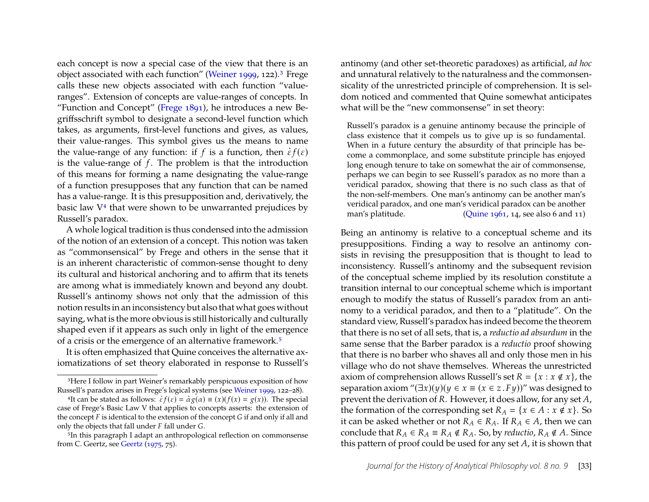each concept is now a special case of the view that there is an object associated with each function" [\(Weiner 1999,](#page-19-1) 122).<sup>[3](#page-4-0)</sup> Frege calls these new objects associated with each function "valueranges". Extension of concepts are value-ranges of concepts. In "Function and Concept" [\(Frege 1891\)](#page-17-3), he introduces a new Begriffsschrift symbol to designate a second-level function which takes, as arguments, first-level functions and gives, as values, their value-ranges. This symbol gives us the means to name then value-ranges. This symbol gives us the means to hame<br>the value-range of any function: if f is a function, then  $\dot{\varepsilon}f(\varepsilon)$ is the value-range of  $f$ . The problem is that the introduction of this means for forming a name designating the value-range of a function presupposes that any function that can be named has a value-range. It is this presupposition and, derivatively, the basic law  $V<sup>4</sup>$  $V<sup>4</sup>$  $V<sup>4</sup>$  that were shown to be unwarranted prejudices by Russell's paradox.

A whole logical tradition is thus condensed into the admission of the notion of an extension of a concept. This notion was taken as "commonsensical" by Frege and others in the sense that it is an inherent characteristic of common-sense thought to deny its cultural and historical anchoring and to affirm that its tenets are among what is immediately known and beyond any doubt. Russell's antinomy shows not only that the admission of this notion results in an inconsistency but also that what goes without saying, what is the more obvious is still historically and culturally shaped even if it appears as such only in light of the emergence of a crisis or the emergence of an alternative framework.[5](#page-4-2)

It is often emphasized that Quine conceives the alternative axiomatizations of set theory elaborated in response to Russell's antinomy (and other set-theoretic paradoxes) as artificial, *ad hoc* and unnatural relatively to the naturalness and the commonsensicality of the unrestricted principle of comprehension. It is seldom noticed and commented that Quine somewhat anticipates what will be the "new commonsense" in set theory:

Russell's paradox is a genuine antinomy because the principle of class existence that it compels us to give up is so fundamental. When in a future century the absurdity of that principle has become a commonplace, and some substitute principle has enjoyed long enough tenure to take on somewhat the air of commonsense, perhaps we can begin to see Russell's paradox as no more than a veridical paradox, showing that there is no such class as that of the non-self-members. One man's antinomy can be another man's veridical paradox, and one man's veridical paradox can be another man's platitude. [\(Quine 1961,](#page-18-1) 14, see also 6 and 11)

Being an antinomy is relative to a conceptual scheme and its presuppositions. Finding a way to resolve an antinomy consists in revising the presupposition that is thought to lead to inconsistency. Russell's antinomy and the subsequent revision of the conceptual scheme implied by its resolution constitute a transition internal to our conceptual scheme which is important enough to modify the status of Russell's paradox from an antinomy to a veridical paradox, and then to a "platitude". On the standard view, Russell's paradox has indeed become the theorem that there is no set of all sets, that is, a *reductio ad absurdum* in the same sense that the Barber paradox is a *reductio* proof showing that there is no barber who shaves all and only those men in his village who do not shave themselves. Whereas the unrestricted axiom of comprehension allows Russell's set  $R = \{x : x \notin x\}$ , the separation axiom " $(\exists x)(y)(y \in x \equiv (x \in z \cdot Fy))$ " was designed to prevent the derivation of  $R$ . However, it does allow, for any set  $A$ , the formation of the corresponding set  $R_A = \{x \in A : x \notin x\}$ . So it can be asked whether or not  $R_A \in R_A$ . If  $R_A \in A$ , then we can conclude that  $R_A \in R_A \not\in R_A \not\in R_A$ . So, by *reductio*,  $R_A \not\in A$ . Since this pattern of proof could be used for any set  $A$ , it is shown that

<span id="page-4-0"></span><sup>&</sup>lt;sup>3</sup>Here I follow in part Weiner's remarkably perspicuous exposition of how Russell's paradox arises in Frege's logical systems (see [Weiner 1999,](#page-19-1) 122–28).

<span id="page-4-1"></span>SEET S paradox arises in Frege S logical systems (see wenter 1999, 122–20).<br><sup>4</sup>It can be stated as follows:  $\dot{\hat{\epsilon}}f(\varepsilon) = \dot{\alpha}g(\alpha) \equiv (x)(f(x) = g(x))$ . The special case of Frege's Basic Law V that applies to concepts asserts: the extension of the concept  $F$  is identical to the extension of the concept  $G$  if and only if all and only the objects that fall under  $F$  fall under  $G$ .

<span id="page-4-2"></span><sup>5</sup>In this paragraph I adapt an anthropological reflection on commonsense from C. Geertz, see [Geertz](#page-17-4) [\(1975,](#page-17-4) 75).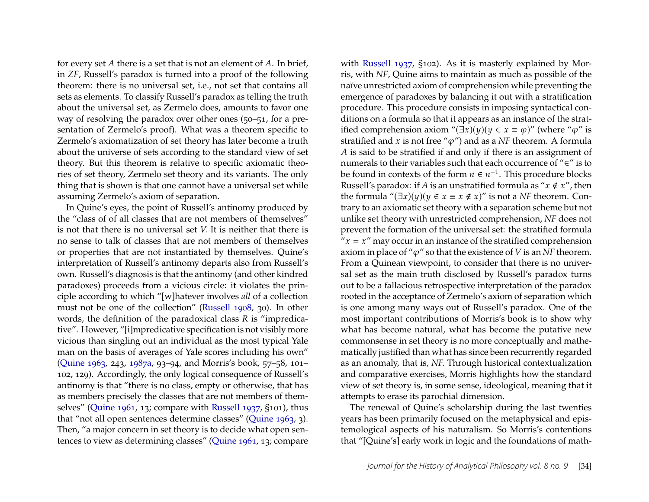for every set  $A$  there is a set that is not an element of  $A$ . In brief, in *ZF*, Russell's paradox is turned into a proof of the following theorem: there is no universal set, i.e., not set that contains all sets as elements. To classify Russell's paradox as telling the truth about the universal set, as Zermelo does, amounts to favor one way of resolving the paradox over other ones (50–51, for a presentation of Zermelo's proof). What was a theorem specific to Zermelo's axiomatization of set theory has later become a truth about the universe of sets according to the standard view of set theory. But this theorem is relative to specific axiomatic theories of set theory, Zermelo set theory and its variants. The only thing that is shown is that one cannot have a universal set while assuming Zermelo's axiom of separation.

In Quine's eyes, the point of Russell's antinomy produced by the "class of of all classes that are not members of themselves" is not that there is no universal set *V.* It is neither that there is no sense to talk of classes that are not members of themselves or properties that are not instantiated by themselves. Quine's interpretation of Russell's antinomy departs also from Russell's own. Russell's diagnosis is that the antinomy (and other kindred paradoxes) proceeds from a vicious circle: it violates the principle according to which "[w]hatever involves *all* of a collection must not be one of the collection" [\(Russell 1908,](#page-18-4) 30). In other words, the definition of the paradoxical class *R* is "impredicative". However, "[i]mpredicative specification is not visibly more vicious than singling out an individual as the most typical Yale man on the basis of averages of Yale scores including his own" [\(Quine 1963,](#page-18-5) 243, [1987a,](#page-18-2) 93–94, and Morris's book, 57–58, 101– 102, 129). Accordingly, the only logical consequence of Russell's antinomy is that "there is no class, empty or otherwise, that has as members precisely the classes that are not members of themselves" [\(Quine 1961,](#page-18-1) 13; compare with [Russell 1937,](#page-19-0) §101), thus that "not all open sentences determine classes" [\(Quine 1963,](#page-18-5) 3). Then, "a major concern in set theory is to decide what open sentences to view as determining classes" [\(Quine 1961,](#page-18-1) 13; compare

with [Russell 1937,](#page-19-0) §102). As it is masterly explained by Morris, with *NF*, Quine aims to maintain as much as possible of the naïve unrestricted axiom of comprehension while preventing the emergence of paradoxes by balancing it out with a stratification procedure. This procedure consists in imposing syntactical conditions on a formula so that it appears as an instance of the stratified comprehension axiom " $(\exists x)(y)(y \in x \equiv \varphi)$ " (where " $\varphi$ " is stratified and x is not free " $\varphi$ ") and as a *NF* theorem. A formula A is said to be stratified if and only if there is an assignment of numerals to their variables such that each occurrence of "∈" is to be found in contexts of the form  $n \in n^{+1}$ . This procedure blocks Russell's paradox: if A is an unstratified formula as " $x \notin x$ ", then the formula " $(\exists x)(y)(y \in x \equiv x \notin x)$ " is not a *NF* theorem. Contrary to an axiomatic set theory with a separation scheme but not unlike set theory with unrestricted comprehension, *NF* does not prevent the formation of the universal set: the stratified formula " $x = x$ " may occur in an instance of the stratified comprehension axiom in place of " $\varphi$ " so that the existence of *V* is an *NF* theorem. From a Quinean viewpoint, to consider that there is no universal set as the main truth disclosed by Russell's paradox turns out to be a fallacious retrospective interpretation of the paradox rooted in the acceptance of Zermelo's axiom of separation which is one among many ways out of Russell's paradox. One of the most important contributions of Morris's book is to show why what has become natural, what has become the putative new commonsense in set theory is no more conceptually and mathematically justified than what has since been recurrently regarded as an anomaly, that is, *NF.* Through historical contextualization and comparative exercises, Morris highlights how the standard view of set theory is, in some sense, ideological, meaning that it attempts to erase its parochial dimension.

The renewal of Quine's scholarship during the last twenties years has been primarily focused on the metaphysical and epistemological aspects of his naturalism. So Morris's contentions that "[Quine's] early work in logic and the foundations of math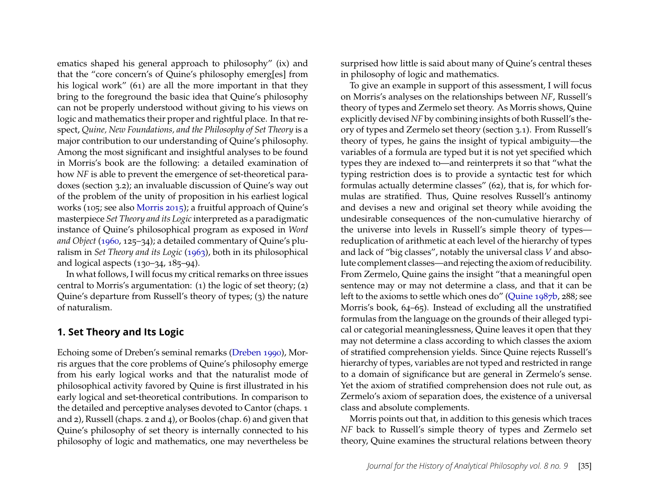ematics shaped his general approach to philosophy" (ix) and that the "core concern's of Quine's philosophy emerg[es] from his logical work" (61) are all the more important in that they bring to the foreground the basic idea that Quine's philosophy can not be properly understood without giving to his views on logic and mathematics their proper and rightful place. In that respect, *Quine, New Foundations, and the Philosophy of Set Theory* is a major contribution to our understanding of Quine's philosophy. Among the most significant and insightful analyses to be found in Morris's book are the following: a detailed examination of how *NF* is able to prevent the emergence of set-theoretical paradoxes (section 3.2); an invaluable discussion of Quine's way out of the problem of the unity of proposition in his earliest logical works (105; see also [Morris 2015\)](#page-17-0); a fruitful approach of Quine's masterpiece *Set Theory and its Logic* interpreted as a paradigmatic instance of Quine's philosophical program as exposed in *Word and Object* [\(1960,](#page-18-0) 125–34); a detailed commentary of Quine's pluralism in *Set Theory and its Logic* [\(1963\)](#page-18-5), both in its philosophical and logical aspects (130–34, 185–94).

In what follows, I will focus my critical remarks on three issues central to Morris's argumentation: (1) the logic of set theory; (2) Quine's departure from Russell's theory of types; (3) the nature of naturalism.

#### **1. Set Theory and Its Logic**

Echoing some of Dreben's seminal remarks [\(Dreben 1990\)](#page-17-5), Morris argues that the core problems of Quine's philosophy emerge from his early logical works and that the naturalist mode of philosophical activity favored by Quine is first illustrated in his early logical and set-theoretical contributions. In comparison to the detailed and perceptive analyses devoted to Cantor (chaps. 1 and 2), Russell (chaps. 2 and 4), or Boolos (chap. 6) and given that Quine's philosophy of set theory is internally connected to his philosophy of logic and mathematics, one may nevertheless be surprised how little is said about many of Quine's central theses in philosophy of logic and mathematics.

To give an example in support of this assessment, I will focus on Morris's analyses on the relationships between *NF*, Russell's theory of types and Zermelo set theory. As Morris shows, Quine explicitly devised *NF* by combining insights of both Russell's theory of types and Zermelo set theory (section 3.1). From Russell's theory of types, he gains the insight of typical ambiguity—the variables of a formula are typed but it is not yet specified which types they are indexed to—and reinterprets it so that "what the typing restriction does is to provide a syntactic test for which formulas actually determine classes" (62), that is, for which formulas are stratified. Thus, Quine resolves Russell's antinomy and devises a new and original set theory while avoiding the undesirable consequences of the non-cumulative hierarchy of the universe into levels in Russell's simple theory of types reduplication of arithmetic at each level of the hierarchy of types and lack of "big classes", notably the universal class *V* and absolute complement classes—and rejecting the axiom of reducibility. From Zermelo, Quine gains the insight "that a meaningful open sentence may or may not determine a class, and that it can be left to the axioms to settle which ones do" [\(Quine 1987b,](#page-18-6) 288; see Morris's book, 64–65). Instead of excluding all the unstratified formulas from the language on the grounds of their alleged typical or categorial meaninglessness, Quine leaves it open that they may not determine a class according to which classes the axiom of stratified comprehension yields. Since Quine rejects Russell's hierarchy of types, variables are not typed and restricted in range to a domain of significance but are general in Zermelo's sense. Yet the axiom of stratified comprehension does not rule out, as Zermelo's axiom of separation does, the existence of a universal class and absolute complements.

Morris points out that, in addition to this genesis which traces *NF* back to Russell's simple theory of types and Zermelo set theory, Quine examines the structural relations between theory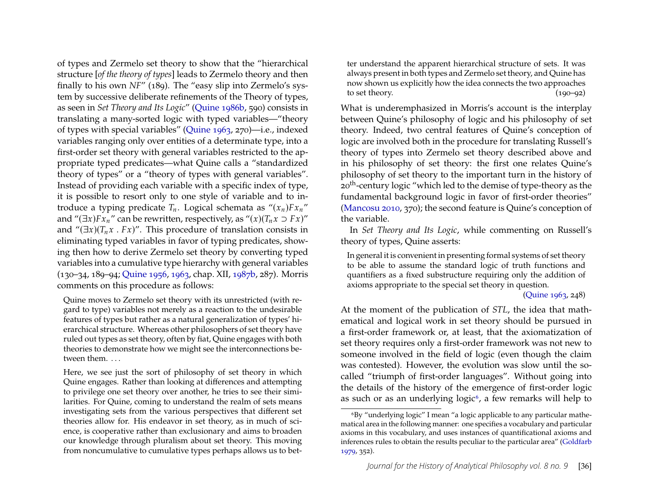of types and Zermelo set theory to show that the "hierarchical structure [*of the theory of types*] leads to Zermelo theory and then finally to his own *NF*" (189). The "easy slip into Zermelo's system by successive deliberate refinements of the Theory of types, as seen in *Set Theory and Its Logic*" [\(Quine 1986b,](#page-18-7) 590) consists in translating a many-sorted logic with typed variables—"theory of types with special variables" [\(Quine 1963,](#page-18-5) 270)—i.e., indexed variables ranging only over entities of a determinate type, into a first-order set theory with general variables restricted to the appropriate typed predicates—what Quine calls a "standardized theory of types" or a "theory of types with general variables". Instead of providing each variable with a specific index of type, it is possible to resort only to one style of variable and to introduce a typing predicate  $T_n$ . Logical schemata as " $(x_n) F x_n$ " and " $(\exists x) F x_n$ " can be rewritten, respectively, as " $(x) (T_n x \supset F x)$ " and " $(\exists x)(T_n x \cdot Fx)$ ". This procedure of translation consists in eliminating typed variables in favor of typing predicates, showing then how to derive Zermelo set theory by converting typed variables into a cumulative type hierarchy with general variables (130–34, 189–94; [Quine 1956,](#page-18-8) [1963,](#page-18-5) chap. XII, [1987b,](#page-18-6) 287). Morris comments on this procedure as follows:

Quine moves to Zermelo set theory with its unrestricted (with regard to type) variables not merely as a reaction to the undesirable features of types but rather as a natural generalization of types' hierarchical structure. Whereas other philosophers of set theory have ruled out types as set theory, often by fiat, Quine engages with both theories to demonstrate how we might see the interconnections between them. ...

Here, we see just the sort of philosophy of set theory in which Quine engages. Rather than looking at differences and attempting to privilege one set theory over another, he tries to see their similarities. For Quine, coming to understand the realm of sets means investigating sets from the various perspectives that different set theories allow for. His endeavor in set theory, as in much of science, is cooperative rather than exclusionary and aims to broaden our knowledge through pluralism about set theory. This moving from noncumulative to cumulative types perhaps allows us to bet-

ter understand the apparent hierarchical structure of sets. It was always present in both types and Zermelo set theory, and Quine has now shown us explicitly how the idea connects the two approaches to set theory.  $(190-92)$ 

What is underemphasized in Morris's account is the interplay between Quine's philosophy of logic and his philosophy of set theory. Indeed, two central features of Quine's conception of logic are involved both in the procedure for translating Russell's theory of types into Zermelo set theory described above and in his philosophy of set theory: the first one relates Quine's philosophy of set theory to the important turn in the history of 20<sup>th</sup>-century logic "which led to the demise of type-theory as the fundamental background logic in favor of first-order theories" [\(Mancosu 2010,](#page-17-6) 370); the second feature is Quine's conception of the variable.

In *Set Theory and Its Logic*, while commenting on Russell's theory of types, Quine asserts:

In general it is convenient in presenting formal systems of set theory to be able to assume the standard logic of truth functions and quantifiers as a fixed substructure requiring only the addition of axioms appropriate to the special set theory in question.

[\(Quine 1963,](#page-18-5) 248)

At the moment of the publication of *STL*, the idea that mathematical and logical work in set theory should be pursued in a first-order framework or, at least, that the axiomatization of set theory requires only a first-order framework was not new to someone involved in the field of logic (even though the claim was contested). However, the evolution was slow until the socalled "triumph of first-order languages". Without going into the details of the history of the emergence of first-order logic as such or as an underlying logic<sup> $6$ </sup>, a few remarks will help to

<span id="page-7-0"></span><sup>6</sup>By "underlying logic" I mean "a logic applicable to any particular mathematical area in the following manner: one specifies a vocabulary and particular axioms in this vocabulary, and uses instances of quantificational axioms and inferences rules to obtain the results peculiar to the particular area" [\(Goldfarb](#page-17-7) [1979,](#page-17-7) 352).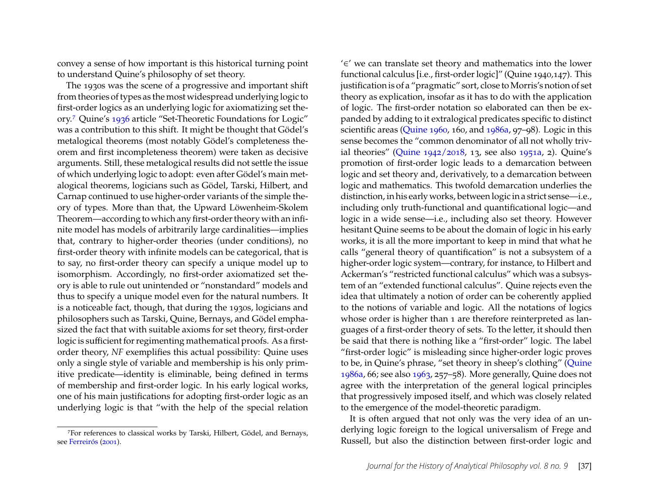convey a sense of how important is this historical turning point to understand Quine's philosophy of set theory.

The 1930s was the scene of a progressive and important shift from theories of types as the most widespread underlying logic to first-order logics as an underlying logic for axiomatizing set theory.[7](#page-8-0) Quine's [1936](#page-18-9) article "Set-Theoretic Foundations for Logic" was a contribution to this shift. It might be thought that Gödel's metalogical theorems (most notably Gödel's completeness theorem and first incompleteness theorem) were taken as decisive arguments. Still, these metalogical results did not settle the issue of which underlying logic to adopt: even after Gödel's main metalogical theorems, logicians such as Gödel, Tarski, Hilbert, and Carnap continued to use higher-order variants of the simple theory of types. More than that, the Upward Löwenheim-Skolem Theorem—according to which any first-order theory with an infinite model has models of arbitrarily large cardinalities—implies that, contrary to higher-order theories (under conditions), no first-order theory with infinite models can be categorical, that is to say, no first-order theory can specify a unique model up to isomorphism. Accordingly, no first-order axiomatized set theory is able to rule out unintended or "nonstandard" models and thus to specify a unique model even for the natural numbers. It is a noticeable fact, though, that during the 1930s, logicians and philosophers such as Tarski, Quine, Bernays, and Gödel emphasized the fact that with suitable axioms for set theory, first-order logic is sufficient for regimenting mathematical proofs. As a firstorder theory, *NF* exemplifies this actual possibility: Quine uses only a single style of variable and membership is his only primitive predicate—identity is eliminable, being defined in terms of membership and first-order logic. In his early logical works, one of his main justifications for adopting first-order logic as an underlying logic is that "with the help of the special relation

'∈' we can translate set theory and mathematics into the lower functional calculus [i.e., first-order logic]" (Quine 1940,147). This justification is of a "pragmatic" sort, close to Morris's notion of set theory as explication, insofar as it has to do with the application of logic. The first-order notation so elaborated can then be expanded by adding to it extralogical predicates specific to distinct scientific areas [\(Quine 1960,](#page-18-0) 160, and [1986a,](#page-18-10) 97–98). Logic in this sense becomes the "common denominator of all not wholly trivial theories" [\(Quine 1942/2018,](#page-18-11) 13, see also [1951a,](#page-18-12) 2). Quine's promotion of first-order logic leads to a demarcation between logic and set theory and, derivatively, to a demarcation between logic and mathematics. This twofold demarcation underlies the distinction, in his early works, between logic in a strict sense—i.e., including only truth-functional and quantificational logic—and logic in a wide sense—i.e., including also set theory. However hesitant Quine seems to be about the domain of logic in his early works, it is all the more important to keep in mind that what he calls "general theory of quantification" is not a subsystem of a higher-order logic system—contrary, for instance, to Hilbert and Ackerman's "restricted functional calculus" which was a subsystem of an "extended functional calculus". Quine rejects even the idea that ultimately a notion of order can be coherently applied to the notions of variable and logic. All the notations of logics whose order is higher than 1 are therefore reinterpreted as languages of a first-order theory of sets. To the letter, it should then be said that there is nothing like a "first-order" logic. The label "first-order logic" is misleading since higher-order logic proves to be, in Quine's phrase, "set theory in sheep's clothing" [\(Quine](#page-18-10) [1986a,](#page-18-10) 66; see also [1963,](#page-18-5) 257–58). More generally, Quine does not agree with the interpretation of the general logical principles that progressively imposed itself, and which was closely related to the emergence of the model-theoretic paradigm.

It is often argued that not only was the very idea of an underlying logic foreign to the logical universalism of Frege and Russell, but also the distinction between first-order logic and

<span id="page-8-0"></span><sup>7</sup>For references to classical works by Tarski, Hilbert, Gödel, and Bernays, see [Ferreirós](#page-17-8) [\(2001\)](#page-17-8).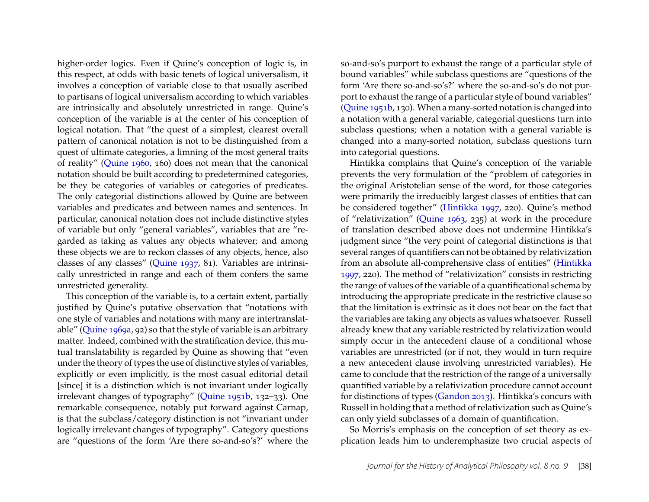higher-order logics. Even if Quine's conception of logic is, in this respect, at odds with basic tenets of logical universalism, it involves a conception of variable close to that usually ascribed to partisans of logical universalism according to which variables are intrinsically and absolutely unrestricted in range. Quine's conception of the variable is at the center of his conception of logical notation. That "the quest of a simplest, clearest overall pattern of canonical notation is not to be distinguished from a quest of ultimate categories, a limning of the most general traits of reality" [\(Quine 1960,](#page-18-0) 160) does not mean that the canonical notation should be built according to predetermined categories, be they be categories of variables or categories of predicates. The only categorial distinctions allowed by Quine are between variables and predicates and between names and sentences. In particular, canonical notation does not include distinctive styles of variable but only "general variables", variables that are "regarded as taking as values any objects whatever; and among these objects we are to reckon classes of any objects, hence, also classes of any classes" [\(Quine 1937,](#page-18-13) 81). Variables are intrinsically unrestricted in range and each of them confers the same unrestricted generality.

This conception of the variable is, to a certain extent, partially justified by Quine's putative observation that "notations with one style of variables and notations with many are intertranslatable" [\(Quine 1969a,](#page-18-14) 92) so that the style of variable is an arbitrary matter. Indeed, combined with the stratification device, this mutual translatability is regarded by Quine as showing that "even under the theory of types the use of distinctive styles of variables, explicitly or even implicitly, is the most casual editorial detail [since] it is a distinction which is not invariant under logically irrelevant changes of typography" [\(Quine 1951b,](#page-18-15) 132–33). One remarkable consequence, notably put forward against Carnap, is that the subclass/category distinction is not "invariant under logically irrelevant changes of typography". Category questions are "questions of the form 'Are there so-and-so's?' where the so-and-so's purport to exhaust the range of a particular style of bound variables" while subclass questions are "questions of the form 'Are there so-and-so's?' where the so-and-so's do not purport to exhaust the range of a particular style of bound variables" [\(Quine 1951b,](#page-18-15) 130). When a many-sorted notation is changed into a notation with a general variable, categorial questions turn into subclass questions; when a notation with a general variable is changed into a many-sorted notation, subclass questions turn into categorial questions.

Hintikka complains that Quine's conception of the variable prevents the very formulation of the "problem of categories in the original Aristotelian sense of the word, for those categories were primarily the irreducibly largest classes of entities that can be considered together" [\(Hintikka 1997,](#page-17-9) 220). Quine's method of "relativization" [\(Quine 1963,](#page-18-5) 235) at work in the procedure of translation described above does not undermine Hintikka's judgment since "the very point of categorial distinctions is that several ranges of quantifiers can not be obtained by relativization from an absolute all-comprehensive class of entities" [\(Hintikka](#page-17-9) [1997,](#page-17-9) 220). The method of "relativization" consists in restricting the range of values of the variable of a quantificational schema by introducing the appropriate predicate in the restrictive clause so that the limitation is extrinsic as it does not bear on the fact that the variables are taking any objects as values whatsoever. Russell already knew that any variable restricted by relativization would simply occur in the antecedent clause of a conditional whose variables are unrestricted (or if not, they would in turn require a new antecedent clause involving unrestricted variables). He came to conclude that the restriction of the range of a universally quantified variable by a relativization procedure cannot account for distinctions of types [\(Gandon 2013\)](#page-17-10). Hintikka's concurs with Russell in holding that a method of relativization such as Quine's can only yield subclasses of a domain of quantification.

So Morris's emphasis on the conception of set theory as explication leads him to underemphasize two crucial aspects of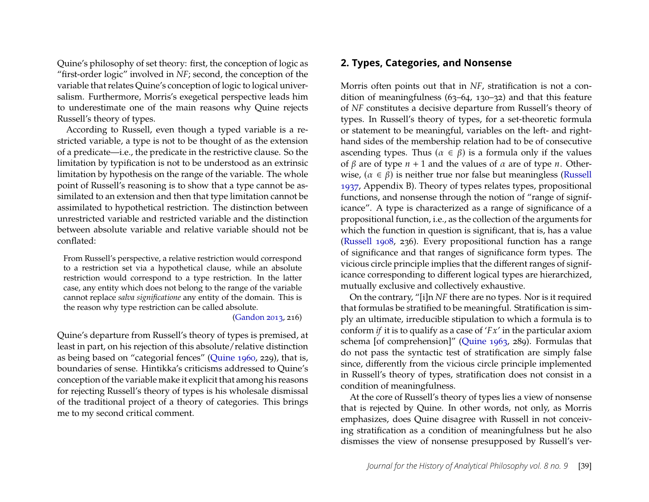Quine's philosophy of set theory: first, the conception of logic as "first-order logic" involved in *NF*; second, the conception of the variable that relates Quine's conception of logic to logical universalism. Furthermore, Morris's exegetical perspective leads him to underestimate one of the main reasons why Quine rejects Russell's theory of types.

According to Russell, even though a typed variable is a restricted variable, a type is not to be thought of as the extension of a predicate—i.e., the predicate in the restrictive clause. So the limitation by typification is not to be understood as an extrinsic limitation by hypothesis on the range of the variable. The whole point of Russell's reasoning is to show that a type cannot be assimilated to an extension and then that type limitation cannot be assimilated to hypothetical restriction. The distinction between unrestricted variable and restricted variable and the distinction between absolute variable and relative variable should not be conflated:

From Russell's perspective, a relative restriction would correspond to a restriction set via a hypothetical clause, while an absolute restriction would correspond to a type restriction. In the latter case, any entity which does not belong to the range of the variable cannot replace *salva significatione* any entity of the domain. This is the reason why type restriction can be called absolute.

#### [\(Gandon 2013,](#page-17-10) 216)

Quine's departure from Russell's theory of types is premised, at least in part, on his rejection of this absolute/relative distinction as being based on "categorial fences" [\(Quine 1960,](#page-18-0) 229), that is, boundaries of sense. Hintikka's criticisms addressed to Quine's conception of the variable make it explicit that among his reasons for rejecting Russell's theory of types is his wholesale dismissal of the traditional project of a theory of categories. This brings me to my second critical comment.

#### **2. Types, Categories, and Nonsense**

Morris often points out that in *NF*, stratification is not a condition of meaningfulness (63–64, 130–32) and that this feature of *NF* constitutes a decisive departure from Russell's theory of types. In Russell's theory of types, for a set-theoretic formula or statement to be meaningful, variables on the left- and righthand sides of the membership relation had to be of consecutive ascending types. Thus ( $\alpha \in \beta$ ) is a formula only if the values of  $\beta$  are of type  $n + 1$  and the values of  $\alpha$  are of type  $n$ . Otherwise,  $(\alpha \in \beta)$  is neither true nor false but meaningless [\(Russell](#page-19-0) [1937,](#page-19-0) Appendix B). Theory of types relates types, propositional functions, and nonsense through the notion of "range of significance". A type is characterized as a range of significance of a propositional function, i.e., as the collection of the arguments for which the function in question is significant, that is, has a value [\(Russell 1908,](#page-18-4) 236). Every propositional function has a range of significance and that ranges of significance form types. The vicious circle principle implies that the different ranges of significance corresponding to different logical types are hierarchized, mutually exclusive and collectively exhaustive.

On the contrary, "[i]n *NF* there are no types. Nor is it required that formulas be stratified to be meaningful. Stratification is simply an ultimate, irreducible stipulation to which a formula is to conform *if* it is to qualify as a case of  $'Fx'$  in the particular axiom schema [of comprehension]" [\(Quine 1963,](#page-18-5) 289). Formulas that do not pass the syntactic test of stratification are simply false since, differently from the vicious circle principle implemented in Russell's theory of types, stratification does not consist in a condition of meaningfulness.

At the core of Russell's theory of types lies a view of nonsense that is rejected by Quine. In other words, not only, as Morris emphasizes, does Quine disagree with Russell in not conceiving stratification as a condition of meaningfulness but he also dismisses the view of nonsense presupposed by Russell's ver-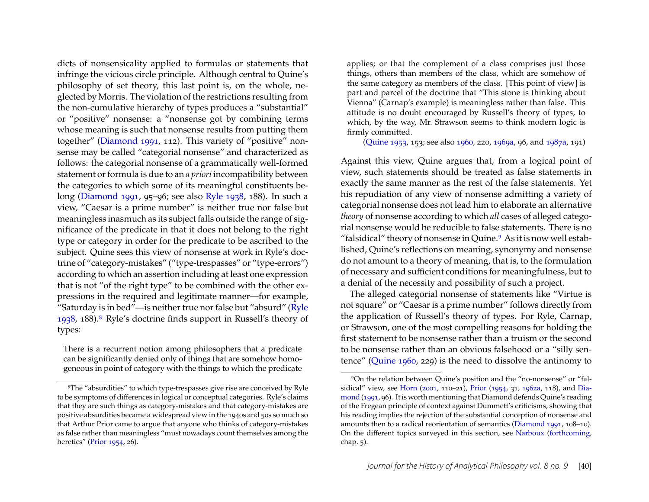dicts of nonsensicality applied to formulas or statements that infringe the vicious circle principle. Although central to Quine's philosophy of set theory, this last point is, on the whole, neglected by Morris. The violation of the restrictions resulting from the non-cumulative hierarchy of types produces a "substantial" or "positive" nonsense: a "nonsense got by combining terms whose meaning is such that nonsense results from putting them together" [\(Diamond 1991,](#page-17-11) 112). This variety of "positive" nonsense may be called "categorial nonsense" and characterized as follows: the categorial nonsense of a grammatically well-formed statement or formula is due to an *a priori* incompatibility between the categories to which some of its meaningful constituents belong [\(Diamond 1991,](#page-17-11) 95–96; see also [Ryle 1938,](#page-19-2) 188). In such a view, "Caesar is a prime number" is neither true nor false but meaningless inasmuch as its subject falls outside the range of significance of the predicate in that it does not belong to the right type or category in order for the predicate to be ascribed to the subject. Quine sees this view of nonsense at work in Ryle's doctrine of "category-mistakes" ("type-trespasses" or "type-errors") according to which an assertion including at least one expression that is not "of the right type" to be combined with the other expressions in the required and legitimate manner—for example, "Saturday is in bed"—is neither true nor false but "absurd" [\(Ryle](#page-19-2) [1938,](#page-19-2) 188).[8](#page-11-0) Ryle's doctrine finds support in Russell's theory of types:

There is a recurrent notion among philosophers that a predicate can be significantly denied only of things that are somehow homogeneous in point of category with the things to which the predicate

applies; or that the complement of a class comprises just those things, others than members of the class, which are somehow of the same category as members of the class. [This point of view] is part and parcel of the doctrine that "This stone is thinking about Vienna" (Carnap's example) is meaningless rather than false. This attitude is no doubt encouraged by Russell's theory of types, to which, by the way, Mr. Strawson seems to think modern logic is firmly committed.

[\(Quine 1953,](#page-18-16) 153; see also [1960,](#page-18-0) 220, [1969a,](#page-18-14) 96, and [1987a,](#page-18-2) 191)

Against this view, Quine argues that, from a logical point of view, such statements should be treated as false statements in exactly the same manner as the rest of the false statements. Yet his repudiation of any view of nonsense admitting a variety of categorial nonsense does not lead him to elaborate an alternative *theory* of nonsense according to which *all* cases of alleged categorial nonsense would be reducible to false statements. There is no "falsidical" theory of nonsense in Quine.<sup>[9](#page-11-1)</sup> As it is now well established, Quine's reflections on meaning, synonymy and nonsense do not amount to a theory of meaning, that is, to the formulation of necessary and sufficient conditions for meaningfulness, but to a denial of the necessity and possibility of such a project.

The alleged categorial nonsense of statements like "Virtue is not square" or "Caesar is a prime number" follows directly from the application of Russell's theory of types. For Ryle, Carnap, or Strawson, one of the most compelling reasons for holding the first statement to be nonsense rather than a truism or the second to be nonsense rather than an obvious falsehood or a "silly sentence" [\(Quine 1960,](#page-18-0) 229) is the need to dissolve the antinomy to

<span id="page-11-0"></span><sup>8</sup>The "absurdities" to which type-trespasses give rise are conceived by Ryle to be symptoms of differences in logical or conceptual categories. Ryle's claims that they are such things as category-mistakes and that category-mistakes are positive absurdities became a widespread view in the 1940s and 50s so much so that Arthur Prior came to argue that anyone who thinks of category-mistakes as false rather than meaningless "must nowadays count themselves among the heretics" [\(Prior 1954,](#page-17-12) 26).

<span id="page-11-1"></span><sup>9</sup>On the relation between Quine's position and the "no-nonsense" or "falsidical" view, see [Horn](#page-17-13) [\(2001,](#page-17-13) 110–21), [Prior](#page-17-12) [\(1954,](#page-17-12) 31, [1962a,](#page-17-14) 118), and [Dia](#page-17-11)[mond](#page-17-11) [\(1991,](#page-17-11) 96). It is worth mentioning that Diamond defends Quine's reading of the Fregean principle of context against Dummett's criticisms, showing that his reading implies the rejection of the substantial conception of nonsense and amounts then to a radical reorientation of semantics [\(Diamond 1991,](#page-17-11) 108–10). On the different topics surveyed in this section, see [Narboux](#page-17-15) [\(forthcoming,](#page-17-15) chap. 5).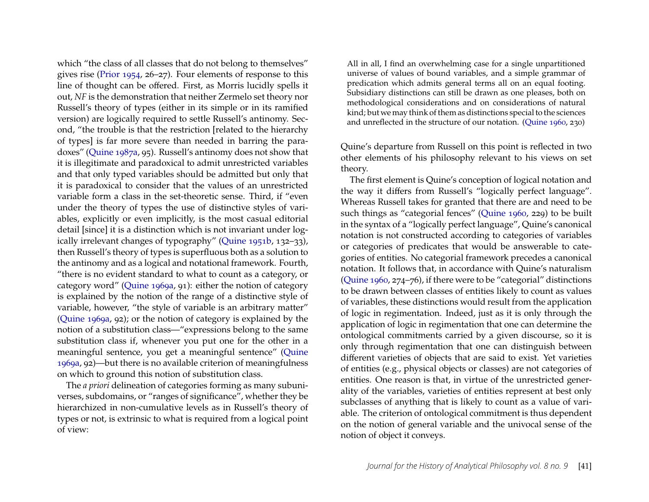which "the class of all classes that do not belong to themselves" gives rise [\(Prior 1954,](#page-17-12) 26–27). Four elements of response to this line of thought can be offered. First, as Morris lucidly spells it out, *NF* is the demonstration that neither Zermelo set theory nor Russell's theory of types (either in its simple or in its ramified version) are logically required to settle Russell's antinomy. Second, "the trouble is that the restriction [related to the hierarchy of types] is far more severe than needed in barring the paradoxes" [\(Quine 1987a,](#page-18-2) 95). Russell's antinomy does not show that it is illegitimate and paradoxical to admit unrestricted variables and that only typed variables should be admitted but only that it is paradoxical to consider that the values of an unrestricted variable form a class in the set-theoretic sense. Third, if "even under the theory of types the use of distinctive styles of variables, explicitly or even implicitly, is the most casual editorial detail [since] it is a distinction which is not invariant under logically irrelevant changes of typography" [\(Quine 1951b,](#page-18-15) 132–33), then Russell's theory of types is superfluous both as a solution to the antinomy and as a logical and notational framework. Fourth, "there is no evident standard to what to count as a category, or category word" [\(Quine 1969a,](#page-18-14) 91): either the notion of category is explained by the notion of the range of a distinctive style of variable, however, "the style of variable is an arbitrary matter" [\(Quine 1969a,](#page-18-14) 92); or the notion of category is explained by the notion of a substitution class—"expressions belong to the same substitution class if, whenever you put one for the other in a meaningful sentence, you get a meaningful sentence" [\(Quine](#page-18-14) [1969a,](#page-18-14) 92)—but there is no available criterion of meaningfulness on which to ground this notion of substitution class.

The *a priori* delineation of categories forming as many subuniverses, subdomains, or "ranges of significance", whether they be hierarchized in non-cumulative levels as in Russell's theory of types or not, is extrinsic to what is required from a logical point of view:

All in all, I find an overwhelming case for a single unpartitioned universe of values of bound variables, and a simple grammar of predication which admits general terms all on an equal footing. Subsidiary distinctions can still be drawn as one pleases, both on methodological considerations and on considerations of natural kind; but we may think of them as distinctions special to the sciences and unreflected in the structure of our notation. [\(Quine 1960,](#page-18-0) 230)

Quine's departure from Russell on this point is reflected in two other elements of his philosophy relevant to his views on set theory.

The first element is Quine's conception of logical notation and the way it differs from Russell's "logically perfect language". Whereas Russell takes for granted that there are and need to be such things as "categorial fences" [\(Quine 1960,](#page-18-0) 229) to be built in the syntax of a "logically perfect language", Quine's canonical notation is not constructed according to categories of variables or categories of predicates that would be answerable to categories of entities. No categorial framework precedes a canonical notation. It follows that, in accordance with Quine's naturalism [\(Quine 1960,](#page-18-0) 274–76), if there were to be "categorial" distinctions to be drawn between classes of entities likely to count as values of variables, these distinctions would result from the application of logic in regimentation. Indeed, just as it is only through the application of logic in regimentation that one can determine the ontological commitments carried by a given discourse, so it is only through regimentation that one can distinguish between different varieties of objects that are said to exist. Yet varieties of entities (e.g., physical objects or classes) are not categories of entities. One reason is that, in virtue of the unrestricted generality of the variables, varieties of entities represent at best only subclasses of anything that is likely to count as a value of variable. The criterion of ontological commitment is thus dependent on the notion of general variable and the univocal sense of the notion of object it conveys.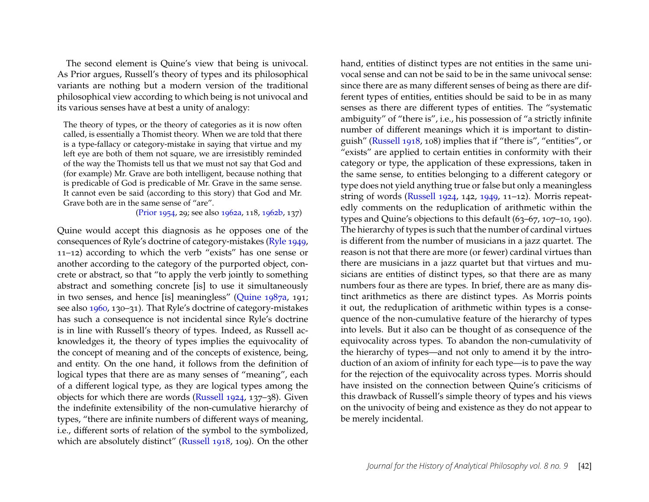The second element is Quine's view that being is univocal. As Prior argues, Russell's theory of types and its philosophical variants are nothing but a modern version of the traditional philosophical view according to which being is not univocal and its various senses have at best a unity of analogy:

The theory of types, or the theory of categories as it is now often called, is essentially a Thomist theory. When we are told that there is a type-fallacy or category-mistake in saying that virtue and my left eye are both of them not square, we are irresistibly reminded of the way the Thomists tell us that we must not say that God and (for example) Mr. Grave are both intelligent, because nothing that is predicable of God is predicable of Mr. Grave in the same sense. It cannot even be said (according to this story) that God and Mr. Grave both are in the same sense of "are".

[\(Prior 1954,](#page-17-12) 29; see also [1962a,](#page-17-14) 118, [1962b,](#page-18-17) 137)

Quine would accept this diagnosis as he opposes one of the consequences of Ryle's doctrine of category-mistakes [\(Ryle 1949,](#page-19-3) 11–12) according to which the verb "exists" has one sense or another according to the category of the purported object, concrete or abstract, so that "to apply the verb jointly to something abstract and something concrete [is] to use it simultaneously in two senses, and hence [is] meaningless" [\(Quine 1987a,](#page-18-2) 191; see also [1960,](#page-18-0) 130–31). That Ryle's doctrine of category-mistakes has such a consequence is not incidental since Ryle's doctrine is in line with Russell's theory of types. Indeed, as Russell acknowledges it, the theory of types implies the equivocality of the concept of meaning and of the concepts of existence, being, and entity. On the one hand, it follows from the definition of logical types that there are as many senses of "meaning", each of a different logical type, as they are logical types among the objects for which there are words [\(Russell 1924,](#page-19-4) 137–38). Given the indefinite extensibility of the non-cumulative hierarchy of types, "there are infinite numbers of different ways of meaning, i.e., different sorts of relation of the symbol to the symbolized, which are absolutely distinct" [\(Russell 1918,](#page-18-18) 109). On the other

hand, entities of distinct types are not entities in the same univocal sense and can not be said to be in the same univocal sense: since there are as many different senses of being as there are different types of entities, entities should be said to be in as many senses as there are different types of entities. The "systematic ambiguity" of "there is", i.e., his possession of "a strictly infinite number of different meanings which it is important to distinguish" [\(Russell 1918,](#page-18-18) 108) implies that if "there is", "entities", or "exists" are applied to certain entities in conformity with their category or type, the application of these expressions, taken in the same sense, to entities belonging to a different category or type does not yield anything true or false but only a meaningless string of words [\(Russell 1924,](#page-19-4) 142, [1949,](#page-19-3) 11–12). Morris repeatedly comments on the reduplication of arithmetic within the types and Quine's objections to this default (63–67, 107–10, 190). The hierarchy of types is such that the number of cardinal virtues is different from the number of musicians in a jazz quartet. The reason is not that there are more (or fewer) cardinal virtues than there are musicians in a jazz quartet but that virtues and musicians are entities of distinct types, so that there are as many numbers four as there are types. In brief, there are as many distinct arithmetics as there are distinct types. As Morris points it out, the reduplication of arithmetic within types is a consequence of the non-cumulative feature of the hierarchy of types into levels. But it also can be thought of as consequence of the equivocality across types. To abandon the non-cumulativity of the hierarchy of types—and not only to amend it by the introduction of an axiom of infinity for each type—is to pave the way for the rejection of the equivocality across types. Morris should have insisted on the connection between Quine's criticisms of this drawback of Russell's simple theory of types and his views on the univocity of being and existence as they do not appear to be merely incidental.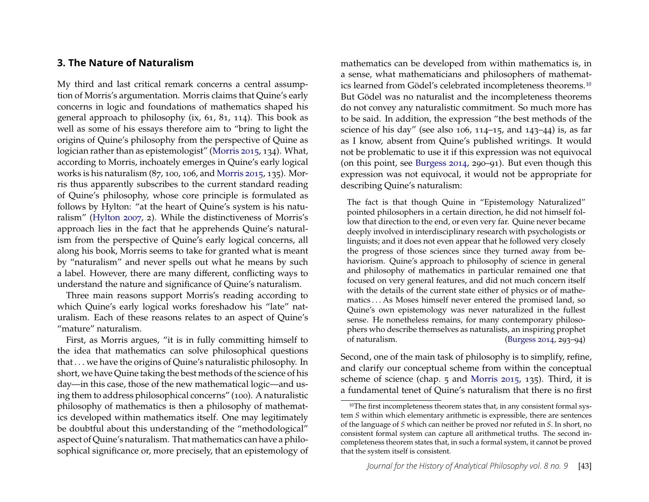#### **3. The Nature of Naturalism**

My third and last critical remark concerns a central assumption of Morris's argumentation. Morris claims that Quine's early concerns in logic and foundations of mathematics shaped his general approach to philosophy (ix, 61, 81, 114). This book as well as some of his essays therefore aim to "bring to light the origins of Quine's philosophy from the perspective of Quine as logician rather than as epistemologist" [\(Morris 2015,](#page-17-0) 134). What, according to Morris, inchoately emerges in Quine's early logical works is his naturalism (87, 100, 106, and [Morris 2015,](#page-17-0) 135). Morris thus apparently subscribes to the current standard reading of Quine's philosophy, whose core principle is formulated as follows by Hylton: "at the heart of Quine's system is his naturalism" [\(Hylton 2007,](#page-17-16) 2). While the distinctiveness of Morris's approach lies in the fact that he apprehends Quine's naturalism from the perspective of Quine's early logical concerns, all along his book, Morris seems to take for granted what is meant by "naturalism" and never spells out what he means by such a label. However, there are many different, conflicting ways to understand the nature and significance of Quine's naturalism.

Three main reasons support Morris's reading according to which Quine's early logical works foreshadow his "late" naturalism. Each of these reasons relates to an aspect of Quine's "mature" naturalism.

First, as Morris argues, "it is in fully committing himself to the idea that mathematics can solve philosophical questions that . . . we have the origins of Quine's naturalistic philosophy. In short, we have Quine taking the best methods of the science of his day—in this case, those of the new mathematical logic—and using them to address philosophical concerns" (100). A naturalistic philosophy of mathematics is then a philosophy of mathematics developed within mathematics itself. One may legitimately be doubtful about this understanding of the "methodological" aspect of Quine's naturalism. That mathematics can have a philosophical significance or, more precisely, that an epistemology of mathematics can be developed from within mathematics is, in a sense, what mathematicians and philosophers of mathematics learned from Gödel's celebrated incompleteness theorems.[10](#page-14-0) But Gödel was no naturalist and the incompleteness theorems do not convey any naturalistic commitment. So much more has to be said. In addition, the expression "the best methods of the science of his day" (see also  $106$ ,  $114-15$ , and  $143-44$ ) is, as far as I know, absent from Quine's published writings. It would not be problematic to use it if this expression was not equivocal (on this point, see [Burgess 2014,](#page-17-17) 290–91). But even though this expression was not equivocal, it would not be appropriate for describing Quine's naturalism:

The fact is that though Quine in "Epistemology Naturalized" pointed philosophers in a certain direction, he did not himself follow that direction to the end, or even very far. Quine never became deeply involved in interdisciplinary research with psychologists or linguists; and it does not even appear that he followed very closely the progress of those sciences since they turned away from behaviorism. Quine's approach to philosophy of science in general and philosophy of mathematics in particular remained one that focused on very general features, and did not much concern itself with the details of the current state either of physics or of mathematics . . . As Moses himself never entered the promised land, so Quine's own epistemology was never naturalized in the fullest sense. He nonetheless remains, for many contemporary philosophers who describe themselves as naturalists, an inspiring prophet of naturalism. [\(Burgess 2014,](#page-17-17) 293–94)

Second, one of the main task of philosophy is to simplify, refine, and clarify our conceptual scheme from within the conceptual scheme of science (chap. 5 and [Morris 2015,](#page-17-0) 135). Third, it is a fundamental tenet of Quine's naturalism that there is no first

<span id="page-14-0"></span><sup>&</sup>lt;sup>10</sup>The first incompleteness theorem states that, in any consistent formal system *S* within which elementary arithmetic is expressible, there are sentences of the language of *S* which can neither be proved nor refuted in *S*. In short, no consistent formal system can capture all arithmetical truths. The second incompleteness theorem states that, in such a formal system, it cannot be proved that the system itself is consistent.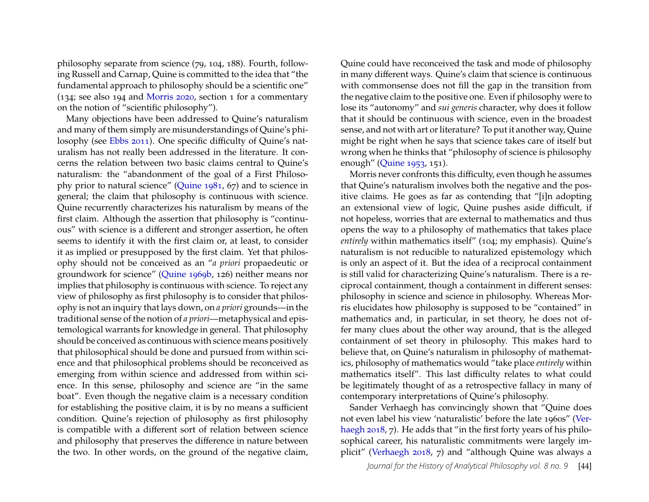philosophy separate from science (79, 104, 188). Fourth, following Russell and Carnap, Quine is committed to the idea that "the fundamental approach to philosophy should be a scientific one" (134; see also 194 and [Morris 2020,](#page-17-18) section 1 for a commentary on the notion of "scientific philosophy").

Many objections have been addressed to Quine's naturalism and many of them simply are misunderstandings of Quine's philosophy (see [Ebbs 2011\)](#page-17-19). One specific difficulty of Quine's naturalism has not really been addressed in the literature. It concerns the relation between two basic claims central to Quine's naturalism: the "abandonment of the goal of a First Philosophy prior to natural science" [\(Quine 1981,](#page-18-19) 67) and to science in general; the claim that philosophy is continuous with science. Quine recurrently characterizes his naturalism by means of the first claim. Although the assertion that philosophy is "continuous" with science is a different and stronger assertion, he often seems to identify it with the first claim or, at least, to consider it as implied or presupposed by the first claim. Yet that philosophy should not be conceived as an "*a priori* propaedeutic or groundwork for science" [\(Quine 1969b,](#page-18-20) 126) neither means nor implies that philosophy is continuous with science. To reject any view of philosophy as first philosophy is to consider that philosophy is not an inquiry that lays down, on *a priori* grounds—in the traditional sense of the notion of *a priori*—metaphysical and epistemological warrants for knowledge in general. That philosophy should be conceived as continuous with science means positively that philosophical should be done and pursued from within science and that philosophical problems should be reconceived as emerging from within science and addressed from within science. In this sense, philosophy and science are "in the same boat". Even though the negative claim is a necessary condition for establishing the positive claim, it is by no means a sufficient condition. Quine's rejection of philosophy as first philosophy is compatible with a different sort of relation between science and philosophy that preserves the difference in nature between the two. In other words, on the ground of the negative claim,

Quine could have reconceived the task and mode of philosophy in many different ways. Quine's claim that science is continuous with commonsense does not fill the gap in the transition from the negative claim to the positive one. Even if philosophy were to lose its "autonomy" and *sui generis* character, why does it follow that it should be continuous with science, even in the broadest sense, and not with art or literature? To put it another way, Quine might be right when he says that science takes care of itself but wrong when he thinks that "philosophy of science is philosophy enough" [\(Quine 1953,](#page-18-16) 151).

Morris never confronts this difficulty, even though he assumes that Quine's naturalism involves both the negative and the positive claims. He goes as far as contending that "[i]n adopting an extensional view of logic, Quine pushes aside difficult, if not hopeless, worries that are external to mathematics and thus opens the way to a philosophy of mathematics that takes place *entirely* within mathematics itself" (104; my emphasis). Quine's naturalism is not reducible to naturalized epistemology which is only an aspect of it. But the idea of a reciprocal containment is still valid for characterizing Quine's naturalism. There is a reciprocal containment, though a containment in different senses: philosophy in science and science in philosophy. Whereas Morris elucidates how philosophy is supposed to be "contained" in mathematics and, in particular, in set theory, he does not offer many clues about the other way around, that is the alleged containment of set theory in philosophy. This makes hard to believe that, on Quine's naturalism in philosophy of mathematics, philosophy of mathematics would "take place *entirely* within mathematics itself". This last difficulty relates to what could be legitimately thought of as a retrospective fallacy in many of contemporary interpretations of Quine's philosophy.

Sander Verhaegh has convincingly shown that "Quine does not even label his view 'naturalistic' before the late 1960s" [\(Ver](#page-19-5)[haegh 2018,](#page-19-5) 7). He adds that "in the first forty years of his philosophical career, his naturalistic commitments were largely implicit" [\(Verhaegh 2018,](#page-19-5) 7) and "although Quine was always a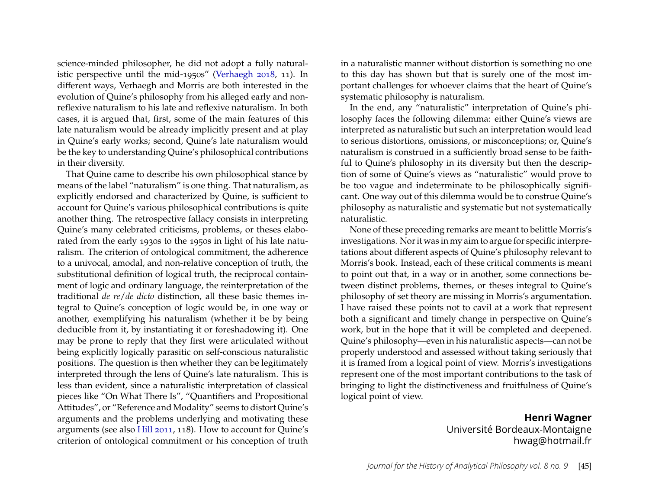science-minded philosopher, he did not adopt a fully naturalistic perspective until the mid-1950s" [\(Verhaegh 2018,](#page-19-5) 11). In different ways, Verhaegh and Morris are both interested in the evolution of Quine's philosophy from his alleged early and nonreflexive naturalism to his late and reflexive naturalism. In both cases, it is argued that, first, some of the main features of this late naturalism would be already implicitly present and at play in Quine's early works; second, Quine's late naturalism would be the key to understanding Quine's philosophical contributions in their diversity.

That Quine came to describe his own philosophical stance by means of the label "naturalism" is one thing. That naturalism, as explicitly endorsed and characterized by Quine, is sufficient to account for Quine's various philosophical contributions is quite another thing. The retrospective fallacy consists in interpreting Quine's many celebrated criticisms, problems, or theses elaborated from the early 1930s to the 1950s in light of his late naturalism. The criterion of ontological commitment, the adherence to a univocal, amodal, and non-relative conception of truth, the substitutional definition of logical truth, the reciprocal containment of logic and ordinary language, the reinterpretation of the traditional *de re*/*de dicto* distinction, all these basic themes integral to Quine's conception of logic would be, in one way or another, exemplifying his naturalism (whether it be by being deducible from it, by instantiating it or foreshadowing it). One may be prone to reply that they first were articulated without being explicitly logically parasitic on self-conscious naturalistic positions. The question is then whether they can be legitimately interpreted through the lens of Quine's late naturalism. This is less than evident, since a naturalistic interpretation of classical pieces like "On What There Is", "Quantifiers and Propositional Attitudes", or "Reference and Modality" seems to distort Quine's arguments and the problems underlying and motivating these arguments (see also [Hill 2011,](#page-17-20) 118). How to account for Quine's criterion of ontological commitment or his conception of truth in a naturalistic manner without distortion is something no one to this day has shown but that is surely one of the most important challenges for whoever claims that the heart of Quine's systematic philosophy is naturalism.

In the end, any "naturalistic" interpretation of Quine's philosophy faces the following dilemma: either Quine's views are interpreted as naturalistic but such an interpretation would lead to serious distortions, omissions, or misconceptions; or, Quine's naturalism is construed in a sufficiently broad sense to be faithful to Quine's philosophy in its diversity but then the description of some of Quine's views as "naturalistic" would prove to be too vague and indeterminate to be philosophically significant. One way out of this dilemma would be to construe Quine's philosophy as naturalistic and systematic but not systematically naturalistic.

None of these preceding remarks are meant to belittle Morris's investigations. Nor it was in my aim to argue for specific interpretations about different aspects of Quine's philosophy relevant to Morris's book. Instead, each of these critical comments is meant to point out that, in a way or in another, some connections between distinct problems, themes, or theses integral to Quine's philosophy of set theory are missing in Morris's argumentation. I have raised these points not to cavil at a work that represent both a significant and timely change in perspective on Quine's work, but in the hope that it will be completed and deepened. Quine's philosophy—even in his naturalistic aspects—can not be properly understood and assessed without taking seriously that it is framed from a logical point of view. Morris's investigations represent one of the most important contributions to the task of bringing to light the distinctiveness and fruitfulness of Quine's logical point of view.

### **Henri Wagner** Université Bordeaux-Montaigne hwag@hotmail.fr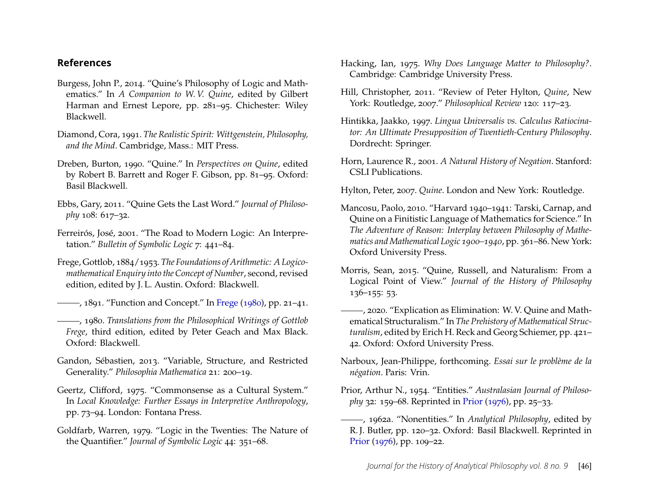#### **References**

- <span id="page-17-17"></span>Burgess, John P., 2014. "Quine's Philosophy of Logic and Mathematics." In *A Companion to W. V. Quine*, edited by Gilbert Harman and Ernest Lepore, pp. 281–95. Chichester: Wiley Blackwell.
- <span id="page-17-11"></span>Diamond, Cora, 1991. *The Realistic Spirit: Wittgenstein, Philosophy, and the Mind*. Cambridge, Mass.: MIT Press.
- <span id="page-17-5"></span>Dreben, Burton, 1990. "Quine." In *Perspectives on Quine*, edited by Robert B. Barrett and Roger F. Gibson, pp. 81–95. Oxford: Basil Blackwell.
- <span id="page-17-19"></span>Ebbs, Gary, 2011. "Quine Gets the Last Word." *Journal of Philosophy* 108: 617–32.
- <span id="page-17-8"></span>Ferreirós, José, 2001. "The Road to Modern Logic: An Interpretation." *Bulletin of Symbolic Logic* 7: 441–84.
- <span id="page-17-1"></span>Frege, Gottlob, 1884/1953. *The Foundations of Arithmetic: A Logicomathematical Enquiry into the Concept of Number*, second, revised edition, edited by J. L. Austin. Oxford: Blackwell.
- <span id="page-17-3"></span>—, 1891. "Function and Concept." In [Frege](#page-17-21) [\(1980\)](#page-17-21), pp. 21–41.
- <span id="page-17-21"></span>, 1980. *Translations from the Philosophical Writings of Gottlob Frege*, third edition, edited by Peter Geach and Max Black. Oxford: Blackwell.
- <span id="page-17-10"></span>Gandon, Sébastien, 2013. "Variable, Structure, and Restricted Generality." *Philosophia Mathematica* 21: 200–19.
- <span id="page-17-4"></span>Geertz, Clifford, 1975. "Commonsense as a Cultural System." In *Local Knowledge: Further Essays in Interpretive Anthropology*, pp. 73–94. London: Fontana Press.
- <span id="page-17-7"></span>Goldfarb, Warren, 1979. "Logic in the Twenties: The Nature of the Quantifier." *Journal of Symbolic Logic* 44: 351–68.
- <span id="page-17-2"></span>Hacking, Ian, 1975. *Why Does Language Matter to Philosophy?*. Cambridge: Cambridge University Press.
- <span id="page-17-20"></span>Hill, Christopher, 2011. "Review of Peter Hylton, *Quine*, New York: Routledge, 2007." *Philosophical Review* 120: 117–23.
- <span id="page-17-9"></span>Hintikka, Jaakko, 1997. *Lingua Universalis vs. Calculus Ratiocinator: An Ultimate Presupposition of Twentieth-Century Philosophy*. Dordrecht: Springer.
- <span id="page-17-13"></span>Horn, Laurence R., 2001. *A Natural History of Negation*. Stanford: CSLI Publications.

<span id="page-17-16"></span>Hylton, Peter, 2007. *Quine*. London and New York: Routledge.

- <span id="page-17-6"></span>Mancosu, Paolo, 2010. "Harvard 1940–1941: Tarski, Carnap, and Quine on a Finitistic Language of Mathematics for Science." In *The Adventure of Reason: Interplay between Philosophy of Mathematics and Mathematical Logic 1900–1940*, pp. 361–86. New York: Oxford University Press.
- <span id="page-17-0"></span>Morris, Sean, 2015. "Quine, Russell, and Naturalism: From a Logical Point of View." *Journal of the History of Philosophy* 136–155: 53.
- <span id="page-17-18"></span>, 2020. "Explication as Elimination: W. V. Quine and Mathematical Structuralism." In *The Prehistory of Mathematical Structuralism*, edited by Erich H. Reck and Georg Schiemer, pp. 421– 42. Oxford: Oxford University Press.
- <span id="page-17-15"></span>Narboux, Jean-Philippe, forthcoming. *Essai sur le problème de la négation*. Paris: Vrin.
- <span id="page-17-12"></span>Prior, Arthur N., 1954. "Entities." *Australasian Journal of Philosophy* 32: 159–68. Reprinted in [Prior](#page-18-21) [\(1976\)](#page-18-21), pp. 25–33.
- <span id="page-17-14"></span>, 1962a. "Nonentities." In *Analytical Philosophy*, edited by R. J. Butler, pp. 120–32. Oxford: Basil Blackwell. Reprinted in [Prior](#page-18-21) [\(1976\)](#page-18-21), pp. 109–22.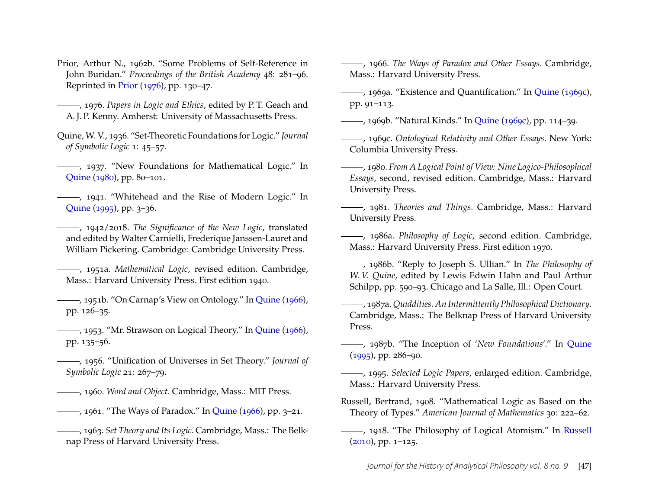- <span id="page-18-17"></span>Prior, Arthur N., 1962b. "Some Problems of Self-Reference in John Buridan." *Proceedings of the British Academy* 48: 281–96. Reprinted in [Prior](#page-18-21) [\(1976\)](#page-18-21), pp. 130–47.
- <span id="page-18-21"></span>, 1976. *Papers in Logic and Ethics*, edited by P. T. Geach and A. J. P. Kenny. Amherst: University of Massachusetts Press.
- <span id="page-18-9"></span>Quine, W. V., 1936. "Set-Theoretic Foundations for Logic." *Journal of Symbolic Logic* 1: 45–57.

<span id="page-18-13"></span>(1937) ------, 1937. "New Foundations for Mathematical Logic." In [Quine](#page-18-22) [\(1980\)](#page-18-22), pp. 80–101.

<span id="page-18-3"></span>-, 1941. "Whitehead and the Rise of Modern Logic." In [Quine](#page-18-23) [\(1995\)](#page-18-23), pp. 3–36.

<span id="page-18-11"></span>, 1942/2018. *The Significance of the New Logic*, translated and edited by Walter Carnielli, Frederique Janssen-Lauret and William Pickering. Cambridge: Cambridge University Press.

<span id="page-18-12"></span>, 1951a. *Mathematical Logic*, revised edition. Cambridge, Mass.: Harvard University Press. First edition 1940.

<span id="page-18-15"></span>, 1951b. "On Carnap's View on Ontology." In [Quine](#page-18-24) [\(1966\)](#page-18-24), pp. 126–35.

<span id="page-18-16"></span>(1953), "Mr. Strawson on Logical Theory." In [Quine](#page-18-24) [\(1966\)](#page-18-24), pp. 135–56.

- <span id="page-18-8"></span>, 1956. "Unification of Universes in Set Theory." *Journal of Symbolic Logic* 21: 267–79.
- <span id="page-18-0"></span>, 1960. *Word and Object*. Cambridge, Mass.: MIT Press.
- <span id="page-18-1"></span>, 1961. "The Ways of Paradox." In [Quine](#page-18-24) [\(1966\)](#page-18-24), pp. 3–21.
- <span id="page-18-5"></span>, 1963. *Set Theory and Its Logic*. Cambridge, Mass.: The Belknap Press of Harvard University Press.

<span id="page-18-24"></span>, 1966. *The Ways of Paradox and Other Essays*. Cambridge, Mass.: Harvard University Press.

- <span id="page-18-14"></span>, 1969a. "Existence and Quantification." In [Quine](#page-18-25) [\(1969c\)](#page-18-25), pp. 91–113.
- <span id="page-18-20"></span>, 1969b. "Natural Kinds." In [Quine](#page-18-25) [\(1969c\)](#page-18-25), pp. 114–39.

<span id="page-18-25"></span>, 1969c. *Ontological Relativity and Other Essays*. New York: Columbia University Press.

- <span id="page-18-22"></span>, 1980. *From A Logical Point of View: Nine Logico-Philosophical Essays*, second, revised edition. Cambridge, Mass.: Harvard University Press.
- <span id="page-18-19"></span>, 1981. *Theories and Things*. Cambridge, Mass.: Harvard University Press.

<span id="page-18-10"></span>, 1986a. *Philosophy of Logic*, second edition. Cambridge, Mass.: Harvard University Press. First edition 1970.

<span id="page-18-7"></span>, 1986b. "Reply to Joseph S. Ullian." In *The Philosophy of W. V. Quine*, edited by Lewis Edwin Hahn and Paul Arthur Schilpp, pp. 590–93. Chicago and La Salle, Ill.: Open Court.

<span id="page-18-2"></span>, 1987a. *Quiddities. An Intermittently Philosophical Dictionary*. Cambridge, Mass.: The Belknap Press of Harvard University Press.

<span id="page-18-6"></span>, 1987b. "The Inception of '*New Foundations*'." In [Quine](#page-18-23) [\(1995\)](#page-18-23), pp. 286–90.

<span id="page-18-23"></span>, 1995. *Selected Logic Papers*, enlarged edition. Cambridge, Mass.: Harvard University Press.

- <span id="page-18-4"></span>Russell, Bertrand, 1908. "Mathematical Logic as Based on the Theory of Types." *American Journal of Mathematics* 30: 222–62.
- <span id="page-18-18"></span>(1918), 1918. "The Philosophy of Logical Atomism." In [Russell](#page-19-6) [\(2010\)](#page-19-6), pp. 1–125.

*Journal for the History of Analytical Philosophy vol. 8 no. 9* [47]